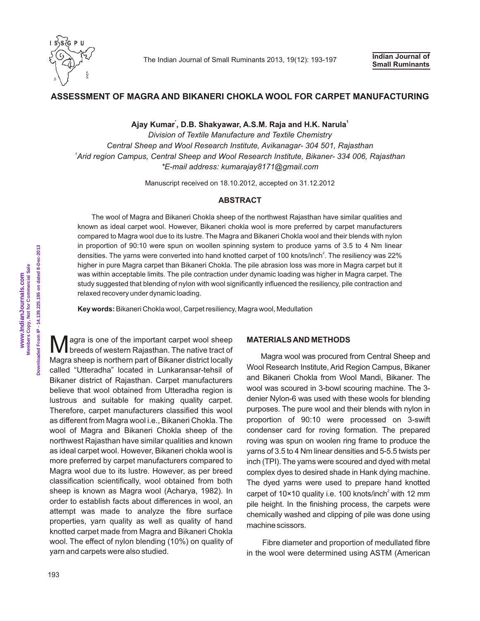

# **ASSESSMENT OF MAGRA AND BIKANERI CHOKLA WOOL FOR CARPET MANUFACTURING**

**\* <sup>1</sup> Ajay Kumar , D.B. Shakyawar, A.S.M. Raja and H.K. Narula**

*Division of Textile Manufacture and Textile Chemistry Central Sheep and Wool Research Institute, Avikanagar- 304 501, Rajasthan <sup>1</sup>Arid region Campus, Central Sheep and Wool Research Institute, Bikaner- 334 006, Rajasthan \*E-mail address: kumarajay8171@gmail.com*

Manuscript received on 18.10.2012, accepted on 31.12.2012

#### **ABSTRACT**

The wool of Magra and Bikaneri Chokla sheep of the northwest Rajasthan have similar qualities and known as ideal carpet wool. However, Bikaneri chokla wool is more preferred by carpet manufacturers compared to Magra wool due to its lustre. The Magra and Bikaneri Chokla wool and their blends with nylon in proportion of 90:10 were spun on woollen spinning system to produce yarns of 3.5 to 4 Nm linear densities. The yarns were converted into hand knotted carpet of 100 knots/inch<sup>2</sup>. The resiliency was 22% higher in pure Magra carpet than Bikaneri Chokla. The pile abrasion loss was more in Magra carpet but it was within acceptable limits. The pile contraction under dynamic loading was higher in Magra carpet. The study suggested that blending of nylon with wool significantly influenced the resiliency, pile contraction and relaxed recovery under dynamic loading.

**Key words:**Bikaneri Chokla wool, Carpet resiliency, Magra wool, Medullation

**M** agra is one of the important carpet wool sheep breeds of western Rajasthan. The native tract of Magra sheep is northern part of Bikaner district locally called "Utteradha" located in Lunkaransar-tehsil of Bikaner district of Rajasthan. Carpet manufacturers believe that wool obtained from Utteradha region is lustrous and suitable for making quality carpet. Therefore, carpet manufacturers classified this wool as different from Magra wool i.e., Bikaneri Chokla. The wool of Magra and Bikaneri Chokla sheep of the northwest Rajasthan have similar qualities and known as ideal carpet wool. However, Bikaneri chokla wool is more preferred by carpet manufacturers compared to Magra wool due to its lustre. However, as per breed classification scientifically, wool obtained from both sheep is known as Magra wool (Acharya, 1982). In order to establish facts about differences in wool, an attempt was made to analyze the fibre surface properties, yarn quality as well as quality of hand knotted carpet made from Magra and Bikaneri Chokla wool. The effect of nylon blending (10%) on quality of yarn and carpets were also studied.

## **MATERIALS AND METHODS**

Magra wool was procured from Central Sheep and Wool Research Institute, Arid Region Campus, Bikaner and Bikaneri Chokla from Wool Mandi, Bikaner. The wool was scoured in 3-bowl scouring machine. The 3 denier Nylon-6 was used with these wools for blending purposes. The pure wool and their blends with nylon in proportion of 90:10 were processed on 3-swift condenser card for roving formation. The prepared roving was spun on woolen ring frame to produce the yarns of 3.5 to 4 Nm linear densities and 5-5.5 twists per inch (TPI). The yarns were scoured and dyed with metal complex dyes to desired shade in Hank dying machine. The dyed yarns were used to prepare hand knotted carpet of  $10\times10$  quality i.e. 100 knots/inch<sup>2</sup> with 12 mm pile height. In the finishing process, the carpets were chemically washed and clipping of pile was done using machine scissors.

Fibre diameter and proportion of medullated fibre in the wool were determined using ASTM (American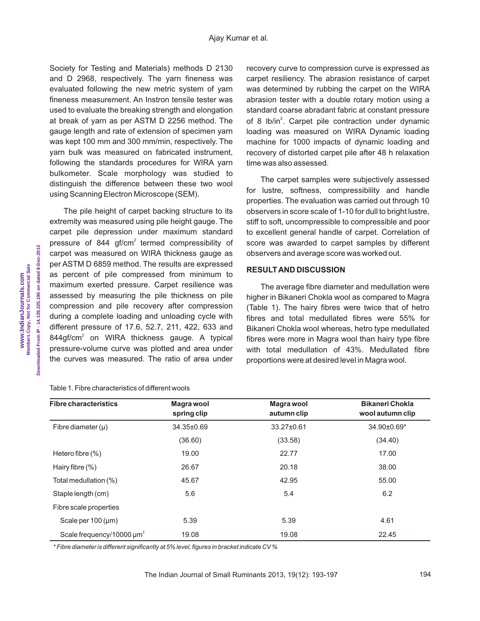Society for Testing and Materials) methods D 2130 and D 2968, respectively. The yarn fineness was evaluated following the new metric system of yarn fineness measurement. An Instron tensile tester was used to evaluate the breaking strength and elongation at break of yarn as per ASTM D 2256 method. The gauge length and rate of extension of specimen yarn was kept 100 mm and 300 mm/min, respectively. The yarn bulk was measured on fabricated instrument, following the standards procedures for WIRA yarn bulkometer. Scale morphology was studied to distinguish the difference between these two wool using Scanning Electron Microscope (SEM).

The pile height of carpet backing structure to its extremity was measured using pile height gauge. The carpet pile depression under maximum standard pressure of 844 gf/cm<sup>2</sup> termed compressibility of carpet was measured on WIRA thickness gauge as per ASTM D 6859 method. The results are expressed as percent of pile compressed from minimum to maximum exerted pressure. Carpet resilience was assessed by measuring the pile thickness on pile compression and pile recovery after compression during a complete loading and unloading cycle with different pressure of 17.6, 52.7, 211, 422, 633 and  $844$ gf/cm<sup>2</sup> on WIRA thickness gauge. A typical pressure-volume curve was plotted and area under the curves was measured. The ratio of area under

Table 1. Fibre characteristics of different wools

recovery curve to compression curve is expressed as carpet resiliency. The abrasion resistance of carpet was determined by rubbing the carpet on the WIRA abrasion tester with a double rotary motion using a standard coarse abradant fabric at constant pressure of 8 lb/in<sup>2</sup>. Carpet pile contraction under dynamic loading was measured on WIRA Dynamic loading machine for 1000 impacts of dynamic loading and recovery of distorted carpet pile after 48 h relaxation time was also assessed.

The carpet samples were subjectively assessed for lustre, softness, compressibility and handle properties. The evaluation was carried out through 10 observers in score scale of 1-10 for dull to bright lustre, stiff to soft, uncompressible to compressible and poor to excellent general handle of carpet. Correlation of score was awarded to carpet samples by different observers and average score was worked out.

### **RESULT AND DISCUSSION**

The average fibre diameter and medullation were higher in Bikaneri Chokla wool as compared to Magra (Table 1). The hairy fibres were twice that of hetro fibres and total medullated fibres were 55% for Bikaneri Chokla wool whereas, hetro type medullated fibres were more in Magra wool than hairy type fibre with total medullation of 43%. Medullated fibre proportions were at desired level in Magra wool.

| <b>Fibre characteristics</b>               | Magra wool  | Magra wool  | <b>Bikaneri Chokla</b> |
|--------------------------------------------|-------------|-------------|------------------------|
|                                            | spring clip | autumn clip | wool autumn clip       |
| Fibre diameter $(\mu)$                     | 34.35±0.69  | 33.27±0.61  | 34.90±0.69*            |
|                                            | (36.60)     | (33.58)     | (34.40)                |
| Hetero fibre $(\%)$                        | 19.00       | 22.77       | 17.00                  |
| Hairy fibre $(\%)$                         | 26.67       | 20.18       | 38.00                  |
| Total medullation (%)                      | 45.67       | 42.95       | 55.00                  |
| Staple length (cm)                         | 5.6         | 5.4         | 6.2                    |
| Fibre scale properties                     |             |             |                        |
| Scale per $100 \, (\mu m)$                 | 5.39        | 5.39        | 4.61                   |
| Scale frequency/10000 $\mu$ m <sup>2</sup> | 19.08       | 19.08       | 22.45                  |

*\* Fibre diameter is different significantly at 5% level, figures in bracket indicate CV %*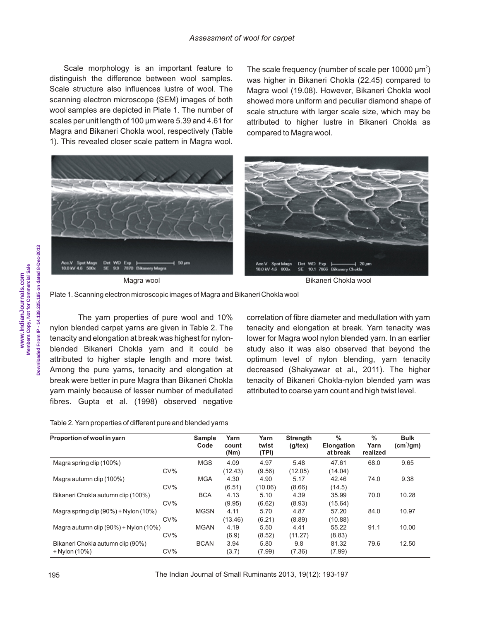Scale morphology is an important feature to distinguish the difference between wool samples. Scale structure also influences lustre of wool. The scanning electron microscope (SEM) images of both wool samples are depicted in Plate 1. The number of scales per unit length of 100 um were 5.39 and 4.61 for Magra and Bikaneri Chokla wool, respectively (Table 1). This revealed closer scale pattern in Magra wool.

The scale frequency (number of scale per 10000  $\mu$ m<sup>2</sup>) was higher in Bikaneri Chokla (22.45) compared to Magra wool (19.08). However, Bikaneri Chokla wool showed more uniform and peculiar diamond shape of scale structure with larger scale size, which may be attributed to higher lustre in Bikaneri Chokla as compared to Magra wool.





The yarn properties of pure wool and 10% nylon blended carpet yarns are given in Table 2. The tenacity and elongation at break was highest for nylonblended Bikaneri Chokla yarn and it could be attributed to higher staple length and more twist. Among the pure yarns, tenacity and elongation at break were better in pure Magra than Bikaneri Chokla yarn mainly because of lesser number of medullated fibres. Gupta et al. (1998) observed negative

correlation of fibre diameter and medullation with yarn tenacity and elongation at break. Yarn tenacity was lower for Magra wool nylon blended yarn. In an earlier study also it was also observed that beyond the optimum level of nylon blending, yarn tenacity decreased (Shakyawar et al., 2011). The higher tenacity of Bikaneri Chokla-nylon blended yarn was attributed to coarse yarn count and high twist level.

| Proportion of wool in yarn                  |        | <b>Sample</b><br>Code | Yarn<br>count<br>(Nm) | Yarn<br>twist<br>(TPI) | <b>Strength</b><br>$(g/\text{tex})$ | $\%$<br><b>Elongation</b><br>at break | $\%$<br>Yarn<br>realized | <b>Bulk</b><br>(cm <sup>3</sup> /gm) |
|---------------------------------------------|--------|-----------------------|-----------------------|------------------------|-------------------------------------|---------------------------------------|--------------------------|--------------------------------------|
| Magra spring clip (100%)                    |        | <b>MGS</b>            | 4.09                  | 4.97                   | 5.48                                | 47.61                                 | 68.0                     | 9.65                                 |
|                                             | $CV\%$ |                       | (12.43)               | (9.56)                 | (12.05)                             | (14.04)                               |                          |                                      |
| Magra autumn clip (100%)                    |        | <b>MGA</b>            | 4.30                  | 4.90                   | 5.17                                | 42.46                                 | 74.0                     | 9.38                                 |
|                                             | $CV\%$ |                       | (6.51)                | (10.06)                | (8.66)                              | (14.5)                                |                          |                                      |
| Bikaneri Chokla autumn clip (100%)          |        | <b>BCA</b>            | 4.13                  | 5.10                   | 4.39                                | 35.99                                 | 70.0                     | 10.28                                |
|                                             | $CV\%$ |                       | (9.95)                | (6.62)                 | (8.93)                              | (15.64)                               |                          |                                      |
| Magra spring clip (90%) + Nylon (10%)       |        | <b>MGSN</b>           | 4.11                  | 5.70                   | 4.87                                | 57.20                                 | 84.0                     | 10.97                                |
|                                             | $CV\%$ |                       | (13.46)               | (6.21)                 | (8.89)                              | (10.88)                               |                          |                                      |
| Magra autumn clip $(90\%)$ + Nylon $(10\%)$ |        | <b>MGAN</b>           | 4.19                  | 5.50                   | 4.41                                | 55.22                                 | 91.1                     | 10.00                                |
|                                             | $CV\%$ |                       | (6.9)                 | (8.52)                 | (11.27)                             | (8.83)                                |                          |                                      |
| Bikaneri Chokla autumn clip (90%)           |        | <b>BCAN</b>           | 3.94                  | 5.80                   | 9.8                                 | 81.32                                 | 79.6                     | 12.50                                |
| + Nylon (10%)                               | $CV\%$ |                       | (3.7)                 | (7.99)                 | (7.36)                              | (7.99)                                |                          |                                      |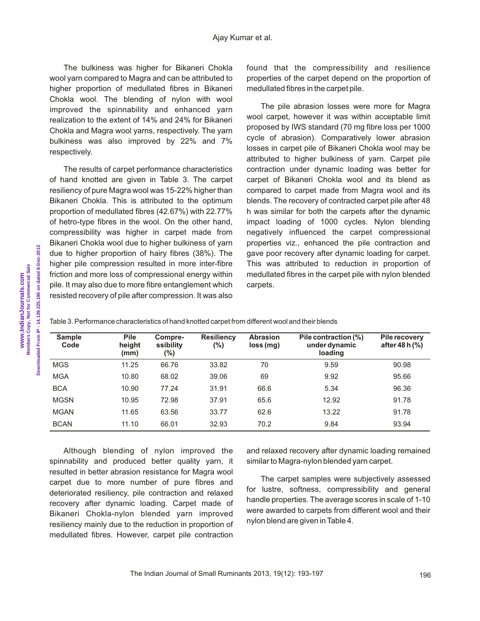#### Ajay Kumar et al.

The bulkiness was higher for Bikaneri Chokla wool yarn compared to Magra and can be attributed to higher proportion of medullated fibres in Bikaneri Chokla wool. The blending of nylon with wool improved the spinnability and enhanced yarn realization to the extent of 14% and 24% for Bikaneri Chokla and Magra wool yarns, respectively. The yarn bulkiness was also improved by 22% and 7% respectively.

The results of carpet performance characteristics of hand knotted are given in Table 3. The carpet resiliency of pure Magra wool was 15-22% higher than Bikaneri Chokla. This is attributed to the optimum proportion of medullated fibres (42.67%) with 22.77% of hetro-type fibres in the wool. On the other hand, compressibility was higher in carpet made from Bikaneri Chokla wool due to higher bulkiness of yarn due to higher proportion of hairy fibres (38%). The higher pile compression resulted in more inter-fibre friction and more loss of compressional energy within pile. It may also due to more fibre entanglement which resisted recovery of pile after compression. It was also

found that the compressibility and resilience properties of the carpet depend on the proportion of medullated fibres in the carpet pile.

The pile abrasion losses were more for Magra wool carpet, however it was within acceptable limit proposed by IWS standard (70 mg fibre loss per 1000 cycle of abrasion). Comparatively lower abrasion losses in carpet pile of Bikaneri Chokla wool may be attributed to higher bulkiness of yarn. Carpet pile contraction under dynamic loading was better for carpet of Bikaneri Chokla wool and its blend as compared to carpet made from Magra wool and its blends. The recovery of contracted carpet pile after 48 h was similar for both the carpets after the dynamic impact loading of 1000 cycles. Nylon blending negatively influenced the carpet compressional properties viz., enhanced the pile contraction and gave poor recovery after dynamic loading for carpet. This was attributed to reduction in proportion of medullated fibres in the carpet pile with nylon blended carpets.

Table 3. Performance characteristics of hand knotted carpet from different wool and their blends

| <b>Sample</b><br>Code | <b>Pile</b><br>height<br>(mm) | Compre-<br>ssibility<br>(%) | <b>Resiliency</b><br>(%) | <b>Abrasion</b><br>loss(mg) | Pile contraction (%)<br>under dynamic<br>loading | Pile recovery<br>after 48 h $(%)$ |
|-----------------------|-------------------------------|-----------------------------|--------------------------|-----------------------------|--------------------------------------------------|-----------------------------------|
| <b>MGS</b>            | 11.25                         | 66.76                       | 33.82                    | 70                          | 9.59                                             | 90.98                             |
| <b>MGA</b>            | 10.80                         | 68.02                       | 39.06                    | 69                          | 9.92                                             | 95.66                             |
| <b>BCA</b>            | 10.90                         | 77.24                       | 31.91                    | 66.6                        | 5.34                                             | 96.36                             |
| <b>MGSN</b>           | 10.95                         | 72.98                       | 37.91                    | 65.6                        | 12.92                                            | 91.78                             |
| <b>MGAN</b>           | 11.65                         | 63.56                       | 33.77                    | 62.6                        | 13.22                                            | 91.78                             |
| <b>BCAN</b>           | 11.10                         | 66.01                       | 32.93                    | 70.2                        | 9.84                                             | 93.94                             |

Although blending of nylon improved the spinnability and produced better quality yarn, it resulted in better abrasion resistance for Magra wool carpet due to more number of pure fibres and deteriorated resiliency, pile contraction and relaxed recovery after dynamic loading. Carpet made of Bikaneri Chokla-nylon blended yarn improved resiliency mainly due to the reduction in proportion of medullated fibres. However, carpet pile contraction

and relaxed recovery after dynamic loading remained similar to Magra-nylon blended yarn carpet.

The carpet samples were subjectively assessed for lustre, softness, compressibility and general handle properties. The average scores in scale of 1-10 were awarded to carpets from different wool and their nylon blend are given in Table 4.